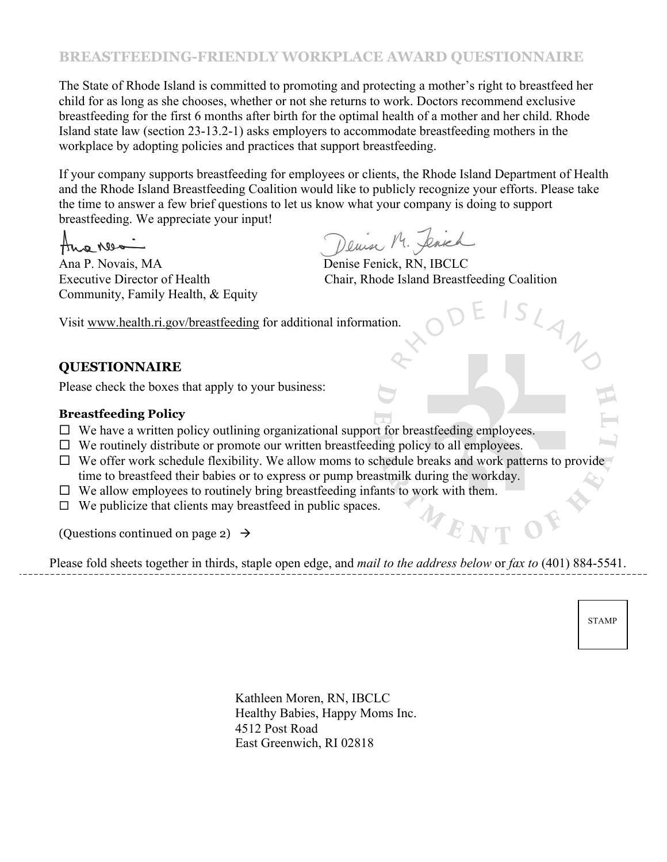# **BREASTFEEDING-FRIENDLY WORKPLACE AWARD QUESTIONNAIRE**

The State of Rhode Island is committed to promoting and protecting a mother's right to breastfeed her child for as long as she chooses, whether or not she returns to work. Doctors recommend exclusive breastfeeding for the first 6 months after birth for the optimal health of a mother and her child. Rhode Island state law (section 23-13.2-1) asks employers to accommodate breastfeeding mothers in the workplace by adopting policies and practices that support breastfeeding.

If your company supports breastfeeding for employees or clients, the Rhode Island Department of Health and the Rhode Island Breastfeeding Coalition would like to publicly recognize your efforts. Please take the time to answer a few brief questions to let us know what your company is doing to support breastfeeding. We appreciate your input!

Ano Nes

Ana P. Novais, MA Denise Fenick, RN, IBCLC Community, Family Health, & Equity

Denin M. Jenich

Executive Director of Health Chair, Rhode Island Breastfeeding Coalition

WENT

Visit www.health.ri.gov/breastfeeding for additional information.

## **QUESTIONNAIRE**

Please check the boxes that apply to your business:

### **Breastfeeding Policy**

- $\Box$  We have a written policy outlining organizational support for breastfeeding employees.
- $\Box$  We routinely distribute or promote our written breastfeeding policy to all employees.
- $\Box$  We offer work schedule flexibility. We allow moms to schedule breaks and work patterns to provide time to breastfeed their babies or to express or pump breastmilk during the workday.
- $\Box$  We allow employees to routinely bring breastfeeding infants to work with them.
- $\Box$  We publicize that clients may breastfeed in public spaces.

(Questions continued on page 2)  $\rightarrow$ 

Please fold sheets together in thirds, staple open edge, and *mail to the address below* or *fax to* (401) 884-5541.

STAMP

Kathleen Moren, RN, IBCLC Healthy Babies, Happy Moms Inc. 4512 Post Road East Greenwich, RI 02818